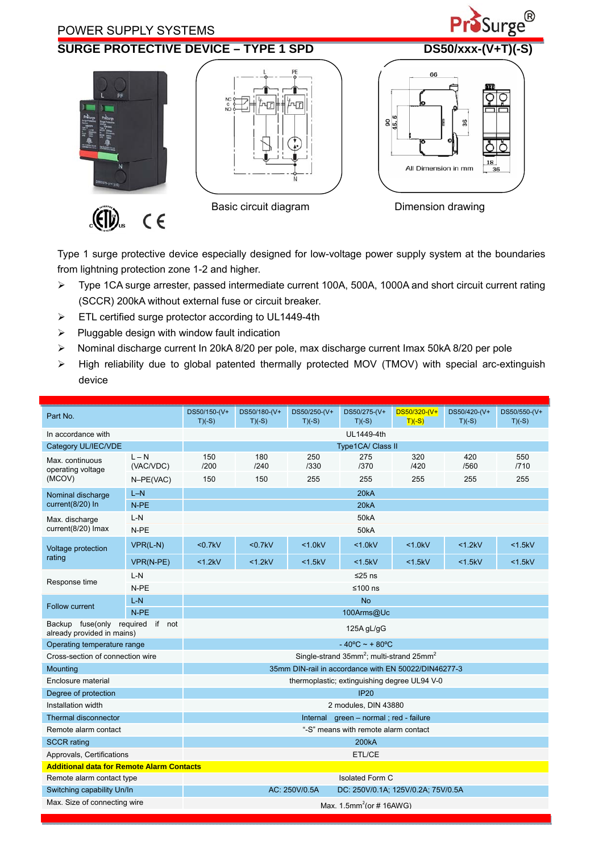

Type 1 surge protective device especially designed for low-voltage power supply system at the boundaries from lightning protection zone 1-2 and higher.

- Type 1CA surge arrester, passed intermediate current 100A, 500A, 1000A and short circuit current rating (SCCR) 200kA without external fuse or circuit breaker.
- $\triangleright$  ETL certified surge protector according to UL1449-4th
- $\triangleright$  Pluggable design with window fault indication
- Nominal discharge current In 20kA 8/20 per pole, max discharge current Imax 50kA 8/20 per pole
- > High reliability due to global patented thermally protected MOV (TMOV) with special arc-extinguish device

| Part No.                                                          |                      | DS50/150-(V+<br>$T(C-S)$                                               | DS50/180-(V+<br>$T(C-S)$ | DS50/250-(V+<br>$T(C-S)$ | DS50/275-(V+<br>$T(C-S)$ | DS50/320-(V+<br>$T(C-S)$ | DS50/420-(V+<br>$T(C-S)$ | DS50/550-(V+<br>$T(C-S)$ |  |  |
|-------------------------------------------------------------------|----------------------|------------------------------------------------------------------------|--------------------------|--------------------------|--------------------------|--------------------------|--------------------------|--------------------------|--|--|
| In accordance with                                                |                      | UL1449-4th                                                             |                          |                          |                          |                          |                          |                          |  |  |
| Category UL/IEC/VDE                                               |                      | <b>Type1CA/ Class II</b>                                               |                          |                          |                          |                          |                          |                          |  |  |
| Max. continuous<br>operating voltage<br>(MCOV)                    | $L - N$<br>(VAC/VDC) | 150<br>/200                                                            | 180<br>1240              | 250<br>/330              | 275<br>/370              | 320<br>/420              | 420<br>/560              | 550<br>/710              |  |  |
|                                                                   | N-PE(VAC)            | 150                                                                    | 150                      | 255                      | 255                      | 255                      | 255                      | 255                      |  |  |
| Nominal discharge<br>current(8/20) In                             | $L-N$                | 20kA                                                                   |                          |                          |                          |                          |                          |                          |  |  |
|                                                                   | N-PE                 | 20kA                                                                   |                          |                          |                          |                          |                          |                          |  |  |
| Max. discharge<br>current(8/20) Imax                              | $L-N$                | <b>50kA</b>                                                            |                          |                          |                          |                          |                          |                          |  |  |
|                                                                   | N-PE                 | <b>50kA</b>                                                            |                          |                          |                          |                          |                          |                          |  |  |
| Voltage protection<br>rating                                      | $VPR(L-N)$           | $0.7kV$                                                                | $0.7kV$                  | < 1.0kV                  | < 1.0kV                  | < 1.0kV                  | <1.2kV                   | <1.5kV                   |  |  |
|                                                                   | VPR(N-PE)            | <1.2kV                                                                 | <1.2kV                   | < 1.5kV                  | <1.5kV                   | $<$ 1.5 $kV$             | $<$ 1.5 $kV$             | $<$ 1.5 $kV$             |  |  |
| Response time                                                     | $L-N$                | ≤25 ns                                                                 |                          |                          |                          |                          |                          |                          |  |  |
|                                                                   | N-PE                 | ≤100 $ns$                                                              |                          |                          |                          |                          |                          |                          |  |  |
|                                                                   | $L-N$                | <b>No</b>                                                              |                          |                          |                          |                          |                          |                          |  |  |
| Follow current                                                    | $N-PE$               | 100Arms@Uc                                                             |                          |                          |                          |                          |                          |                          |  |  |
| Backup fuse(only required<br>if not<br>already provided in mains) |                      | 125A gL/gG                                                             |                          |                          |                          |                          |                          |                          |  |  |
| Operating temperature range                                       |                      | $-40^{\circ}$ C ~ + 80 $^{\circ}$ C                                    |                          |                          |                          |                          |                          |                          |  |  |
| Cross-section of connection wire                                  |                      | Single-strand $35$ mm <sup>2</sup> : multi-strand $25$ mm <sup>2</sup> |                          |                          |                          |                          |                          |                          |  |  |
| Mounting                                                          |                      | 35mm DIN-rail in accordance with EN 50022/DIN46277-3                   |                          |                          |                          |                          |                          |                          |  |  |
| Enclosure material                                                |                      | thermoplastic; extinguishing degree UL94 V-0                           |                          |                          |                          |                          |                          |                          |  |  |
| Degree of protection                                              |                      | <b>IP20</b>                                                            |                          |                          |                          |                          |                          |                          |  |  |
| Installation width                                                |                      | 2 modules, DIN 43880                                                   |                          |                          |                          |                          |                          |                          |  |  |
| Thermal disconnector                                              |                      | Internal green - normal; red - failure                                 |                          |                          |                          |                          |                          |                          |  |  |
| Remote alarm contact                                              |                      | "-S" means with remote alarm contact                                   |                          |                          |                          |                          |                          |                          |  |  |
| <b>SCCR</b> rating                                                |                      | 200 <sub>k</sub> A                                                     |                          |                          |                          |                          |                          |                          |  |  |
| Approvals, Certifications                                         |                      | ETL/CE                                                                 |                          |                          |                          |                          |                          |                          |  |  |
| <b>Additional data for Remote Alarm Contacts</b>                  |                      |                                                                        |                          |                          |                          |                          |                          |                          |  |  |
| Remote alarm contact type                                         |                      | <b>Isolated Form C</b>                                                 |                          |                          |                          |                          |                          |                          |  |  |
| Switching capability Un/In                                        |                      | AC: 250V/0.5A<br>DC: 250V/0.1A; 125V/0.2A; 75V/0.5A                    |                          |                          |                          |                          |                          |                          |  |  |
| Max. Size of connecting wire                                      |                      | Max. $1.5$ mm <sup>2</sup> (or #16AWG)                                 |                          |                          |                          |                          |                          |                          |  |  |